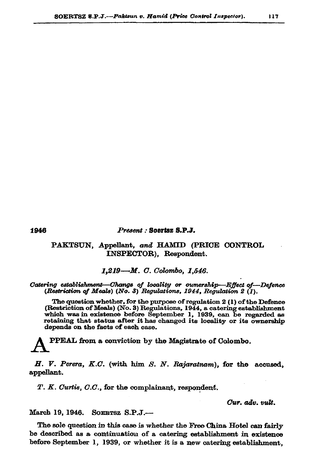1946

## Present : Soertsz S.P.J.

## PAKTSUN, Appellant, and HAMID (PRICE CONTROL INSPECTOR), Respondent.

1,219-M. C. Colombo, 1,546.

Catering establishment—Change of locality or ownership—Effect of—Defence (Restriction of Meals) (No. 3) Regulations, 1944, Regulation 2 (1).

The question whether, for the purpose of regulation 2 (1) of the Defence (Restriction of Meals) (No. 3) Regulations, 1944, a catering establishment which was in existence before September 1, 1939, can be regarded as retaining that status after it has changed its locality or its ownership depends on the facts of each case.

PPEAL from a conviction by the Magistrate of Colombo.

H. V. Perera, K.C. (with him S. N. Rajaratnam), for the accused, appellant.

T. K. Curtis, C.C., for the complainant, respondent.

Cur. adv. vult.

March 19, 1946. SOERTSZ S.P.J.-

The sole question in this case is whether the Free China Hotel can fairly be described as a continuation of a catering establishment in existence before September 1, 1939, or whether it is a new catering establishment,